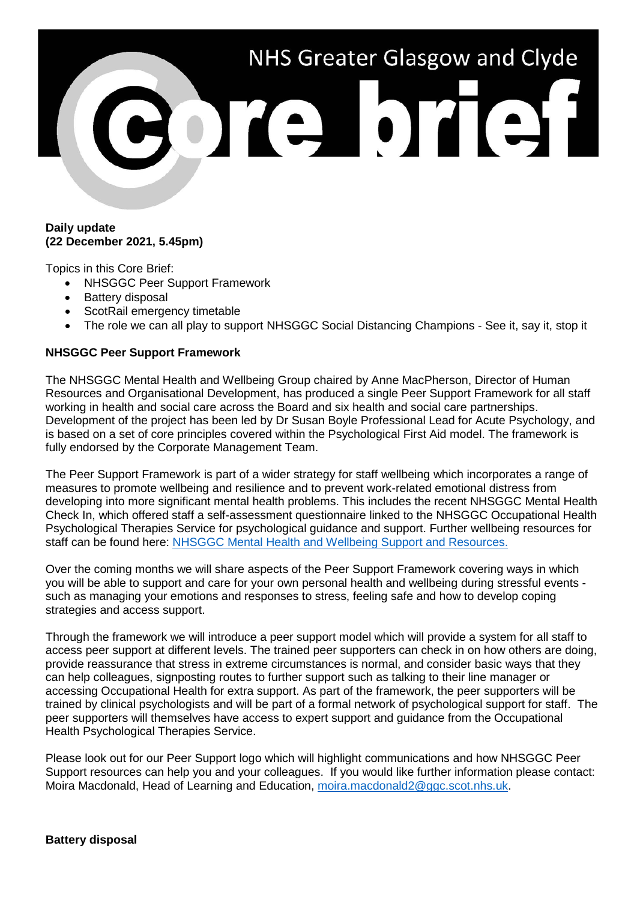# NHS Greater Glasgow and Clyde Porte brief!

## **Daily update (22 December 2021, 5.45pm)**

Topics in this Core Brief:

- NHSGGC Peer Support Framework
- Battery disposal
- ScotRail emergency timetable
- The role we can all play to support NHSGGC Social Distancing Champions See it, say it, stop it

# **NHSGGC Peer Support Framework**

The NHSGGC Mental Health and Wellbeing Group chaired by Anne MacPherson, Director of Human Resources and Organisational Development, has produced a single Peer Support Framework for all staff working in health and social care across the Board and six health and social care partnerships. Development of the project has been led by Dr Susan Boyle Professional Lead for Acute Psychology, and is based on a set of core principles covered within the Psychological First Aid model. The framework is fully endorsed by the Corporate Management Team.

The Peer Support Framework is part of a wider strategy for staff wellbeing which incorporates a range of measures to promote wellbeing and resilience and to prevent work-related emotional distress from developing into more significant mental health problems. This includes the recent NHSGGC Mental Health Check In, which offered staff a self-assessment questionnaire linked to the NHSGGC Occupational Health Psychological Therapies Service for psychological guidance and support. Further wellbeing resources for staff can be found here: [NHSGGC Mental Health and Wellbeing Support and Resources.](https://www.nhsggc.org.uk/working-with-us/hr-connect/occupational-health/mental-health-wellbeing/)

Over the coming months we will share aspects of the Peer Support Framework covering ways in which you will be able to support and care for your own personal health and wellbeing during stressful events such as managing your emotions and responses to stress, feeling safe and how to develop coping strategies and access support.

Through the framework we will introduce a peer support model which will provide a system for all staff to access peer support at different levels. The trained peer supporters can check in on how others are doing, provide reassurance that stress in extreme circumstances is normal, and consider basic ways that they can help colleagues, signposting routes to further support such as talking to their line manager or accessing Occupational Health for extra support. As part of the framework, the peer supporters will be trained by clinical psychologists and will be part of a formal network of psychological support for staff. The peer supporters will themselves have access to expert support and guidance from the Occupational Health Psychological Therapies Service.

Please look out for our Peer Support logo which will highlight communications and how NHSGGC Peer Support resources can help you and your colleagues. If you would like further information please contact: Moira Macdonald, Head of Learning and Education, [moira.macdonald2@ggc.scot.nhs.uk.](mailto:moira.macdonald2@ggc.scot.nhs.uk)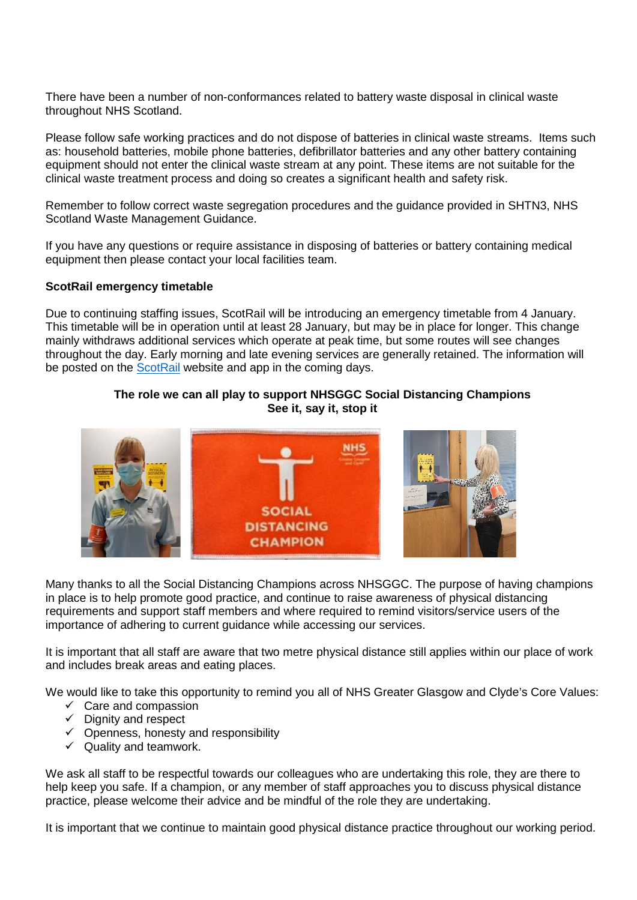There have been a number of non-conformances related to battery waste disposal in clinical waste throughout NHS Scotland.

Please follow safe working practices and do not dispose of batteries in clinical waste streams. Items such as: household batteries, mobile phone batteries, defibrillator batteries and any other battery containing equipment should not enter the clinical waste stream at any point. These items are not suitable for the clinical waste treatment process and doing so creates a significant health and safety risk.

Remember to follow correct waste segregation procedures and the guidance provided in SHTN3, NHS Scotland Waste Management Guidance.

If you have any questions or require assistance in disposing of batteries or battery containing medical equipment then please contact your local facilities team.

### **ScotRail emergency timetable**

Due to continuing staffing issues, ScotRail will be introducing an emergency timetable from 4 January. This timetable will be in operation until at least 28 January, but may be in place for longer. This change mainly withdraws additional services which operate at peak time, but some routes will see changes throughout the day. Early morning and late evening services are generally retained. The information will be posted on the [ScotRail](https://www.scotrail.co.uk/) website and app in the coming days.

# **The role we can all play to support NHSGGC Social Distancing Champions See it, say it, stop it**



Many thanks to all the Social Distancing Champions across NHSGGC. The purpose of having champions in place is to help promote good practice, and continue to raise awareness of physical distancing requirements and support staff members and where required to remind visitors/service users of the importance of adhering to current guidance while accessing our services.

It is important that all staff are aware that two metre physical distance still applies within our place of work and includes break areas and eating places.

We would like to take this opportunity to remind you all of NHS Greater Glasgow and Clyde's Core Values:

- $\checkmark$  Care and compassion
- $\checkmark$  Dignity and respect
- $\checkmark$  Openness, honesty and responsibility
- $\checkmark$  Quality and teamwork.

We ask all staff to be respectful towards our colleagues who are undertaking this role, they are there to help keep you safe. If a champion, or any member of staff approaches you to discuss physical distance practice, please welcome their advice and be mindful of the role they are undertaking.

It is important that we continue to maintain good physical distance practice throughout our working period.